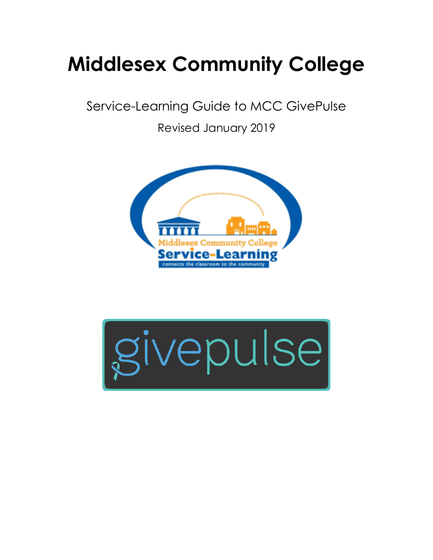# **Middlesex Community College**

Service-Learning Guide to MCC GivePulse

Revised January 2019



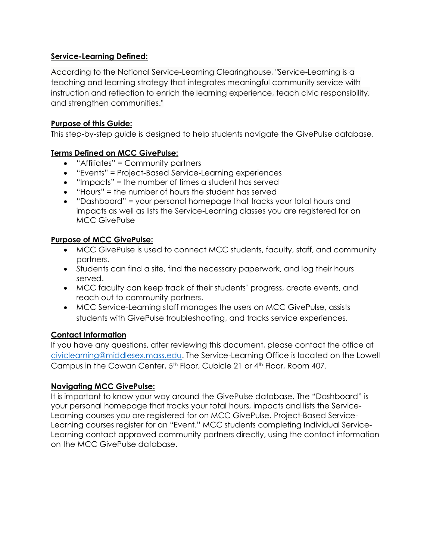## **Service-Learning Defined:**

According to the National Service-Learning Clearinghouse, "Service-Learning is a teaching and learning strategy that integrates meaningful community service with instruction and reflection to enrich the learning experience, teach civic responsibility, and strengthen communities."

#### **Purpose of this Guide:**

This step-by-step guide is designed to help students navigate the GivePulse database.

## **Terms Defined on MCC GivePulse:**

- "Affiliates" = Community partners
- "Events" = Project-Based Service-Learning experiences
- $\bullet$  "Impacts" = the number of times a student has served
- "Hours" = the number of hours the student has served
- "Dashboard" = your personal homepage that tracks your total hours and impacts as well as lists the Service-Learning classes you are registered for on MCC GivePulse

## **Purpose of MCC GivePulse:**

- MCC GivePulse is used to connect MCC students, faculty, staff, and community partners.
- Students can find a site, find the necessary paperwork, and log their hours served.
- MCC faculty can keep track of their students' progress, create events, and reach out to community partners.
- MCC Service-Learning staff manages the users on MCC GivePulse, assists students with GivePulse troubleshooting, and tracks service experiences.

## **Contact Information**

If you have any questions, after reviewing this document, please contact the office at [civiclearning@middlesex.mass.edu.](mailto:civiclearning@middlesex.mass.edu) The Service-Learning Office is located on the Lowell Campus in the Cowan Center, 5<sup>th</sup> Floor, Cubicle 21 or 4<sup>th</sup> Floor, Room 407.

## **Navigating MCC GivePulse:**

It is important to know your way around the GivePulse database. The "Dashboard" is your personal homepage that tracks your total hours, impacts and lists the Service-Learning courses you are registered for on MCC GivePulse. Project-Based Service-Learning courses register for an "Event." MCC students completing Individual Service-Learning contact *approved* community partners directly, using the contact information on the MCC GivePulse database.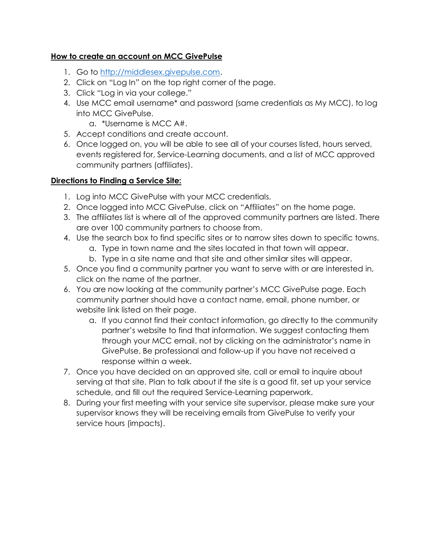## **How to create an account on MCC GivePulse**

- 1. Go to [http://middlesex.givepulse.com.](http://middlesex.givepulse.com/)
- 2. Click on "Log In" on the top right corner of the page.
- 3. Click "Log in via your college."
- 4. Use MCC email username\* and password (same credentials as My MCC), to log into MCC GivePulse.
	- a. \*Username is MCC A#.
- 5. Accept conditions and create account.
- 6. Once logged on, you will be able to see all of your courses listed, hours served, events registered for, Service-Learning documents, and a list of MCC approved community partners (affiliates).

## **Directions to Finding a Service Site:**

- 1. Log into MCC GivePulse with your MCC credentials.
- 2. Once logged into MCC GivePulse, click on "Affiliates" on the home page.
- 3. The affiliates list is where all of the approved community partners are listed. There are over 100 community partners to choose from.
- 4. Use the search box to find specific sites or to narrow sites down to specific towns.
	- a. Type in town name and the sites located in that town will appear.
	- b. Type in a site name and that site and other similar sites will appear.
- 5. Once you find a community partner you want to serve with or are interested in, click on the name of the partner.
- 6. You are now looking at the community partner's MCC GivePulse page. Each community partner should have a contact name, email, phone number, or website link listed on their page.
	- a. If you cannot find their contact information, go directly to the community partner's website to find that information. We suggest contacting them through your MCC email, not by clicking on the administrator's name in GivePulse. Be professional and follow-up if you have not received a response within a week.
- 7. Once you have decided on an approved site, call or email to inquire about serving at that site. Plan to talk about if the site is a good fit, set up your service schedule, and fill out the required Service-Learning paperwork.
- 8. During your first meeting with your service site supervisor, please make sure your supervisor knows they will be receiving emails from GivePulse to verify your service hours (impacts).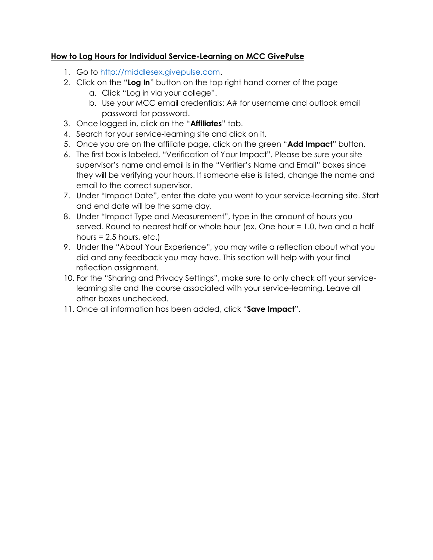## **How to Log Hours for Individual Service-Learning on MCC GivePulse**

- 1. Go to [http://middlesex.givepulse.com.](http://middlesex.givepulse.com/)
- 2. Click on the "**Log In**" button on the top right hand corner of the page
	- a. Click "Log in via your college".
	- b. Use your MCC email credentials: A# for username and outlook email password for password.
- 3. Once logged in, click on the "**Affiliates**" tab.
- 4. Search for your service-learning site and click on it.
- 5. Once you are on the affiliate page, click on the green "**Add Impact**" button.
- 6. The first box is labeled, "Verification of Your Impact". Please be sure your site supervisor's name and email is in the "Verifier's Name and Email" boxes since they will be verifying your hours. If someone else is listed, change the name and email to the correct supervisor.
- 7. Under "Impact Date", enter the date you went to your service-learning site. Start and end date will be the same day.
- 8. Under "Impact Type and Measurement", type in the amount of hours you served. Round to nearest half or whole hour (ex. One hour = 1.0, two and a half hours  $= 2.5$  hours, etc.)
- 9. Under the "About Your Experience", you may write a reflection about what you did and any feedback you may have. This section will help with your final reflection assignment.
- 10. For the "Sharing and Privacy Settings", make sure to only check off your servicelearning site and the course associated with your service-learning. Leave all other boxes unchecked.
- 11. Once all information has been added, click "**Save Impact**".